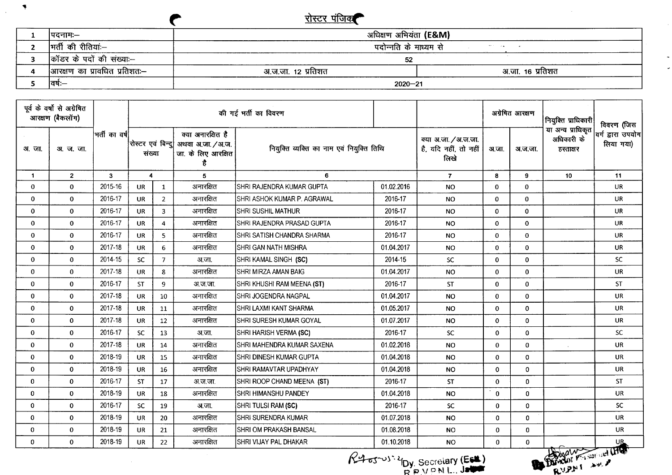## <u>रोस्टर पंजिक</u>

 $\sim 100$ 

 $\blacktriangledown$ 

 $\Delta \phi$ 

|                               | रस्टिर पंजिक                     |                  |  |
|-------------------------------|----------------------------------|------------------|--|
| ।पदनामः—                      | अधिक्षण अभियंता <b>(E&amp;M)</b> |                  |  |
| मर्ती की रीतियां:--           | पदोन्नति के माध्यम से            |                  |  |
| कॉडर के पदों की संख्या:--     | 52                               |                  |  |
| आरक्षण का प्रावधित प्रतिशतः-- | अ.ज.जा. 12 प्रतिशत               | अ.जा. 16 प्रतिशत |  |
| ।वर्षः—                       | $2020 - 21$                      |                  |  |

| पूर्व के वर्षों से अग्रेषित<br>आरक्षण (बैकलॉग) |                   |                | की गई भर्ती का विवरण    |                |                                                                                      |                                           |                                                       | अग्रेषित आरक्षण                           |              | नियुक्ति प्राधिकारी                          | विवरण (जिस                     |           |
|------------------------------------------------|-------------------|----------------|-------------------------|----------------|--------------------------------------------------------------------------------------|-------------------------------------------|-------------------------------------------------------|-------------------------------------------|--------------|----------------------------------------------|--------------------------------|-----------|
| अजा.                                           | <b>31. ज. जा.</b> | भर्ती का वर्ष  | संख्या                  |                | क्या अनारक्षित है<br>रोस्टर एवं बिन्दु  अथवा अ.जा. /अ.ज.<br>जा. के लिए आरक्षित<br>है | नियुक्ति व्यक्ति का नाम एवं नियुक्ति तिथि | क्या अ.जा. / अ.ज.जा.<br>है, यदि नहीं, तो नहीं<br>लिखे | अ.जा.<br>अ.ज.जा.                          |              | या अन्य प्राधिकृत<br>अधिकारी के<br>हस्ताक्षर | वर्ग द्वारा उपयोग<br>लिया गया) |           |
| 1                                              | $\overline{2}$    | $\overline{3}$ | $\overline{\mathbf{4}}$ |                | 5                                                                                    | 6                                         |                                                       | $\overline{7}$                            | 8            | 9                                            | 10                             | 11        |
| $\mathbf 0$                                    | $\mathbf{0}$      | 2015-16        | <b>UR</b>               | $\mathbf{1}$   | अनारक्षित                                                                            | SHRI RAJENDRA KUMAR GUPTA                 | 01.02.2016                                            | <b>NO</b>                                 | $\bf{0}$     | $\mathbf{0}$                                 |                                | UR.       |
| $\mathbf 0$                                    | $\Omega$          | 2016-17        | <b>UR</b>               | $\overline{2}$ | अनारक्षित                                                                            | ISHRI ASHOK KUMAR P. AGRAWAL              | 2016-17                                               | <b>NO</b>                                 | $\bf{0}$     | $\Omega$                                     |                                | <b>UR</b> |
| 0                                              | $\mathbf 0$       | 2016-17        | <b>UR</b>               | $\overline{3}$ | अनारक्षित                                                                            | SHRI SUSHIL MATHUR                        | 2016-17                                               | <b>NO</b>                                 | $\mathbf{0}$ | $\bf{0}$                                     |                                | <b>UR</b> |
| $\mathbf{0}$                                   | $\mathbf{0}$      | 2016-17        | <b>UR</b>               | $\overline{4}$ | अनारक्षित                                                                            | SHRI RAJENDRA PRASAD GUPTA                | 2016-17                                               | <b>NO</b>                                 | $\mathbf 0$  | $\Omega$                                     |                                | UR.       |
| 0                                              | $\mathbf{0}$      | 2016-17        | <b>UR</b>               | $\overline{5}$ | अनारक्षित                                                                            | SHRI SATISH CHANDRA SHARMA                | 2016-17                                               | <b>NO</b>                                 | $\mathbf{0}$ | $\mathbf 0$                                  |                                | UR.       |
| 0                                              | $\mathbf 0$       | 2017-18        | UR.                     | 6              | अनारक्षित                                                                            | SHRI GAN NATH MISHRA                      | 01.04.2017                                            | <b>NO</b>                                 | $\Omega$     | $\mathbf 0$                                  |                                | UR.       |
| 0                                              | $\bf{0}$          | 2014-15        | SC.                     | $\overline{7}$ | अ.जा.                                                                                | SHRI KAMAL SINGH (SC)                     | 2014-15                                               | ${\sf SC}$                                | $\mathbf{0}$ | $\Omega$                                     |                                | SC.       |
| 0                                              | $\mathbf{0}$      | 2017-18        | UR.                     | 8              | अनारक्षित                                                                            | SHRI MIRZA AMAN BAIG                      | 01.04.2017                                            | <b>NO</b>                                 | $\Omega$     | $\mathbf{0}$                                 |                                | <b>UR</b> |
| 0                                              | $\bf{0}$          | 2016-17        | ST.                     | 9              | अ.ज.जा.                                                                              | SHRI KHUSHI RAM MEENA (ST)                | 2016-17                                               | <b>ST</b>                                 | $\mathbf{0}$ | $\mathbf{0}$                                 |                                | <b>ST</b> |
| 0                                              | $\mathbf 0$       | 2017-18        | <b>UR</b>               | 10             | अनारक्षित                                                                            | SHRI JOGENDRA NAGPAL                      | 01.04.2017                                            | <b>NO</b>                                 | $\Omega$     | $\Omega$                                     |                                | <b>UR</b> |
| $\bf{0}$                                       | $\mathbf 0$       | 2017-18        | <b>UR</b>               | 11             | अनारक्षित                                                                            | SHRI LAXMI KANT SHARMA                    | 01.05.2017                                            | <b>NO</b>                                 | $\mathbf{0}$ | $\mathbf{0}$                                 |                                | <b>UR</b> |
| 0                                              | $\mathbf 0$       | 2017-18        | <b>UR</b>               | 12             | अनारक्षित                                                                            | İSHRI SURESH KUMAR GOYAL                  | 01.07.2017                                            | <b>NO</b>                                 | $\mathbf 0$  | $\mathbf{0}$                                 |                                | <b>UR</b> |
| 0                                              | $\mathbf 0$       | 2016-17        | <b>SC</b>               | 13             | अ.जा.                                                                                | SHRI HARISH VERMA (SC)                    | 2016-17                                               | <b>SC</b>                                 | $\mathbf 0$  | $\mathbf{0}$                                 |                                | <b>SC</b> |
| 0                                              | $\Omega$          | 2017-18        | <b>UR</b>               | 14             | अनारक्षित                                                                            | SHRI MAHENDRA KUMAR SAXENA                | 01.02.2018                                            | <b>NO</b>                                 | $\mathbf 0$  | $\mathbf 0$                                  |                                | <b>UR</b> |
| 0                                              | $\mathbf 0$       | 2018-19        | <b>UR</b>               | 15             | अनारक्षित                                                                            | SHRI DINESH KUMAR GUPTA                   | 01.04.2018                                            | <b>NO</b>                                 | $\mathbf{0}$ | $\Omega$                                     |                                | <b>UR</b> |
| 0                                              | $\mathbf 0$       | 2018-19        | <b>UR</b>               | 16             | अनारक्षित                                                                            | <b>SHRI RAMAVTAR UPADHYAY</b>             | 01.04.2018                                            | <b>NO</b>                                 | $\mathbf 0$  | $\Omega$                                     |                                | <b>UR</b> |
| 0                                              | $\mathbf{0}$      | 2016-17        | <b>ST</b>               | 17             | अ.ज.जा.                                                                              | SHRI ROOP CHAND MEENA (ST)                | 2016-17                                               | <b>ST</b>                                 | $\mathbf 0$  | $\mathbf{0}$                                 |                                | <b>ST</b> |
| 0                                              | $\mathbf 0$       | 2018-19        | UR                      | 18             | अनारक्षित                                                                            | SHRI HIMANSHU PANDEY                      | 01.04.2018                                            | <b>NO</b>                                 | $\mathbf{0}$ | $\mathbf{0}$                                 |                                | <b>UR</b> |
| $\mathbf{0}$                                   | $\mathbf 0$       | 2016-17        | SC.                     | 19             | अ.जा.                                                                                | SHRI TULSI RAM (SC)                       | 2016-17                                               | SC                                        | $\mathbf{0}$ | 0                                            |                                | <b>SC</b> |
| 0                                              | $\mathbf 0$       | 2018-19        | <b>UR</b>               | 20             | अनारक्षित                                                                            | SHRI SURENDRA KUMAR                       | 01.07.2018                                            | <b>NO</b>                                 | $\mathbf{0}$ | $\mathbf{0}$                                 |                                | <b>UR</b> |
| 0                                              | $\mathbf{0}$      | 2018-19        | <b>UR</b>               | 21             | अनारक्षित                                                                            | SHRI OM PRAKASH BANSAL                    | 01.08.2018                                            | NO.                                       | $\mathbf{0}$ | $\mathbf{0}$                                 |                                | <b>UR</b> |
| 0                                              | $\mathbf 0$       | 2018-19        | <b>UR</b>               | 22             | अनारक्षित                                                                            | SHRI VIJAY PAL DHAKAR                     | 01.10.2018                                            | NO.                                       | $\mathbf 0$  | $\mathbf{0}$                                 |                                |           |
|                                                |                   |                |                         |                |                                                                                      |                                           |                                                       | $R45503^{2}I_{\text{DY}}$ Secretary (ESL) |              |                                              | RUPAL AWAY                     |           |

 $R4 \sigma$ <sup>-v)</sub>-2 $_{\text{DY}}$  Secretary (Est)</sup>